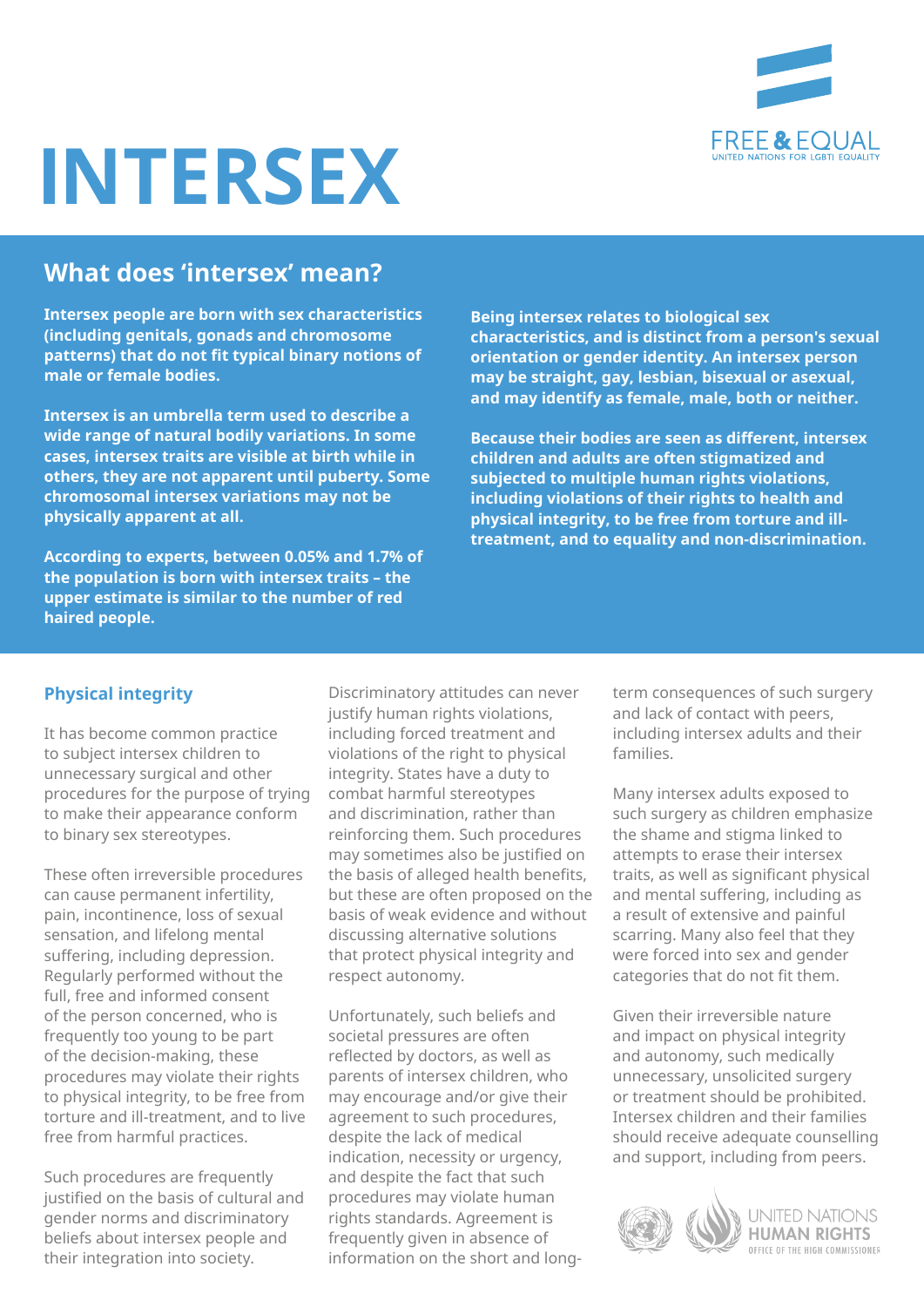

# **INTERSEX**

# **What does 'intersex' mean?**

**Intersex people are born with sex characteristics (including genitals, gonads and chromosome patterns) that do not fit typical binary notions of male or female bodies.** 

**Intersex is an umbrella term used to describe a wide range of natural bodily variations. In some cases, intersex traits are visible at birth while in others, they are not apparent until puberty. Some chromosomal intersex variations may not be physically apparent at all.** 

**According to experts, between 0.05% and 1.7% of the population is born with intersex traits – the upper estimate is similar to the number of red haired people.** 

**Being intersex relates to biological sex characteristics, and is distinct from a person's sexual orientation or gender identity. An intersex person may be straight, gay, lesbian, bisexual or asexual, and may identify as female, male, both or neither.** 

**Because their bodies are seen as different, intersex children and adults are often stigmatized and subjected to multiple human rights violations, including violations of their rights to health and physical integrity, to be free from torture and illtreatment, and to equality and non-discrimination.** 

#### **Physical integrity**

It has become common practice to subject intersex children to unnecessary surgical and other procedures for the purpose of trying to make their appearance conform to binary sex stereotypes.

These often irreversible procedures can cause permanent infertility, pain, incontinence, loss of sexual sensation, and lifelong mental suffering, including depression. Regularly performed without the full, free and informed consent of the person concerned, who is frequently too young to be part of the decision-making, these procedures may violate their rights to physical integrity, to be free from torture and ill-treatment, and to live free from harmful practices.

Such procedures are frequently justified on the basis of cultural and gender norms and discriminatory beliefs about intersex people and their integration into society.

Discriminatory attitudes can never justify human rights violations, including forced treatment and violations of the right to physical integrity. States have a duty to combat harmful stereotypes and discrimination, rather than reinforcing them. Such procedures may sometimes also be justified on the basis of alleged health benefits, but these are often proposed on the basis of weak evidence and without discussing alternative solutions that protect physical integrity and respect autonomy.

Unfortunately, such beliefs and societal pressures are often reflected by doctors, as well as parents of intersex children, who may encourage and/or give their agreement to such procedures, despite the lack of medical indication, necessity or urgency, and despite the fact that such procedures may violate human rights standards. Agreement is frequently given in absence of information on the short and longterm consequences of such surgery and lack of contact with peers, including intersex adults and their families.

Many intersex adults exposed to such surgery as children emphasize the shame and stigma linked to attempts to erase their intersex traits, as well as significant physical and mental suffering, including as a result of extensive and painful scarring. Many also feel that they were forced into sex and gender categories that do not fit them.

Given their irreversible nature and impact on physical integrity and autonomy, such medically unnecessary, unsolicited surgery or treatment should be prohibited. Intersex children and their families should receive adequate counselling and support, including from peers.

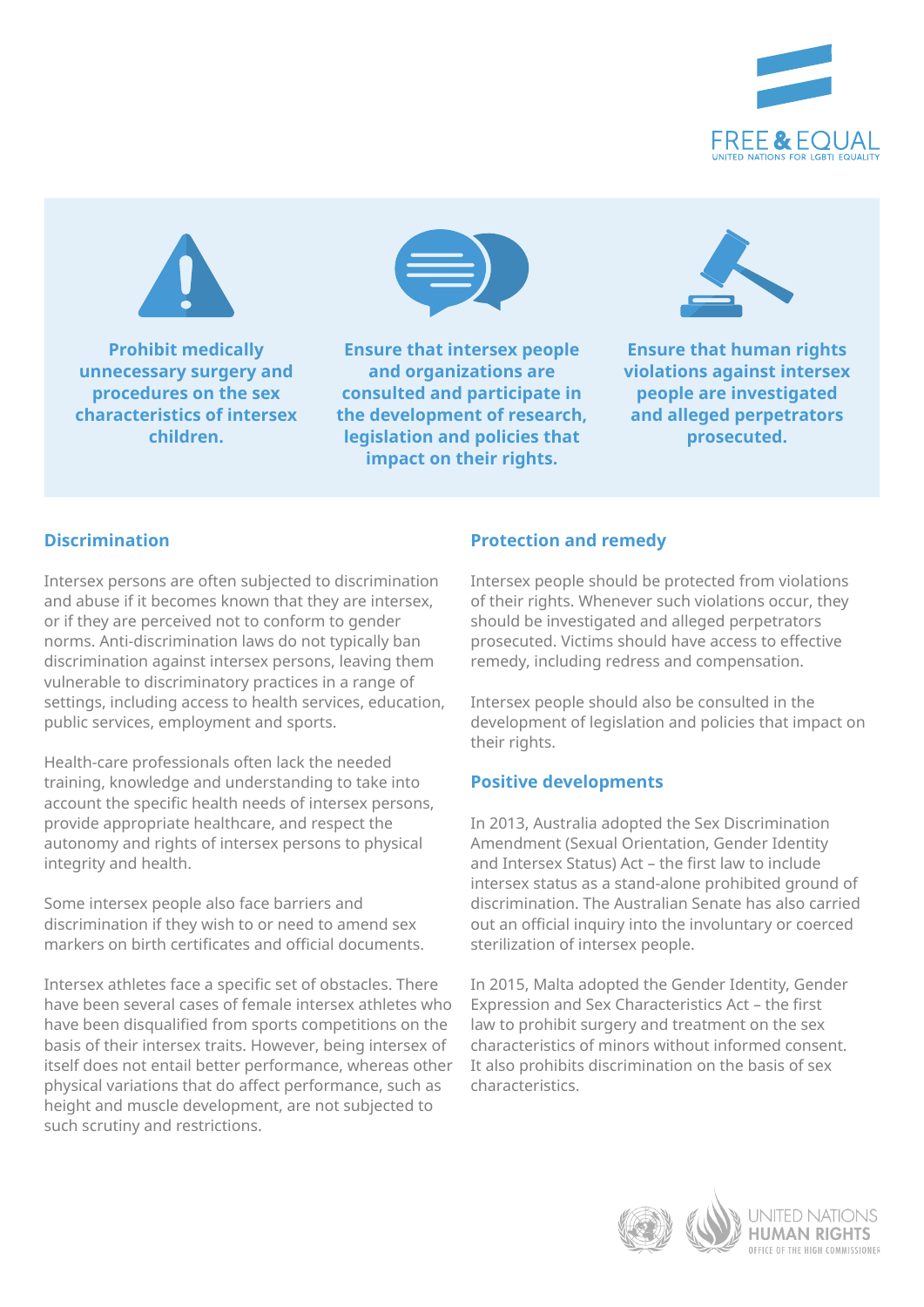



**Prohibit medically unnecessary surgery and procedures on the sex characteristics of intersex children.**



**Ensure that intersex people and organizations are consulted and participate in the development of research, legislation and policies that impact on their rights.** 



**Ensure that human rights violations against intersex people are investigated and alleged perpetrators prosecuted.**

## **Discrimination**

Intersex persons are often subjected to discrimination and abuse if it becomes known that they are intersex, or if they are perceived not to conform to gender norms. Anti-discrimination laws do not typically ban discrimination against intersex persons, leaving them vulnerable to discriminatory practices in a range of settings, including access to health services, education, public services, employment and sports.

Health-care professionals often lack the needed training, knowledge and understanding to take into account the specific health needs of intersex persons, provide appropriate healthcare, and respect the autonomy and rights of intersex persons to physical integrity and health.

Some intersex people also face barriers and discrimination if they wish to or need to amend sex markers on birth certificates and official documents.

Intersex athletes face a specific set of obstacles. There have been several cases of female intersex athletes who have been disqualified from sports competitions on the basis of their intersex traits. However, being intersex of itself does not entail better performance, whereas other physical variations that do affect performance, such as height and muscle development, are not subjected to such scrutiny and restrictions.

## **Protection and remedy**

Intersex people should be protected from violations of their rights. Whenever such violations occur, they should be investigated and alleged perpetrators prosecuted. Victims should have access to effective remedy, including redress and compensation.

Intersex people should also be consulted in the development of legislation and policies that impact on their rights.

## **Positive developments**

In 2013, Australia adopted the Sex Discrimination Amendment (Sexual Orientation, Gender Identity and Intersex Status) Act – the first law to include intersex status as a stand-alone prohibited ground of discrimination. The Australian Senate has also carried out an official inquiry into the involuntary or coerced sterilization of intersex people.

In 2015, Malta adopted the Gender Identity, Gender Expression and Sex Characteristics Act – the first law to prohibit surgery and treatment on the sex characteristics of minors without informed consent. It also prohibits discrimination on the basis of sex characteristics.